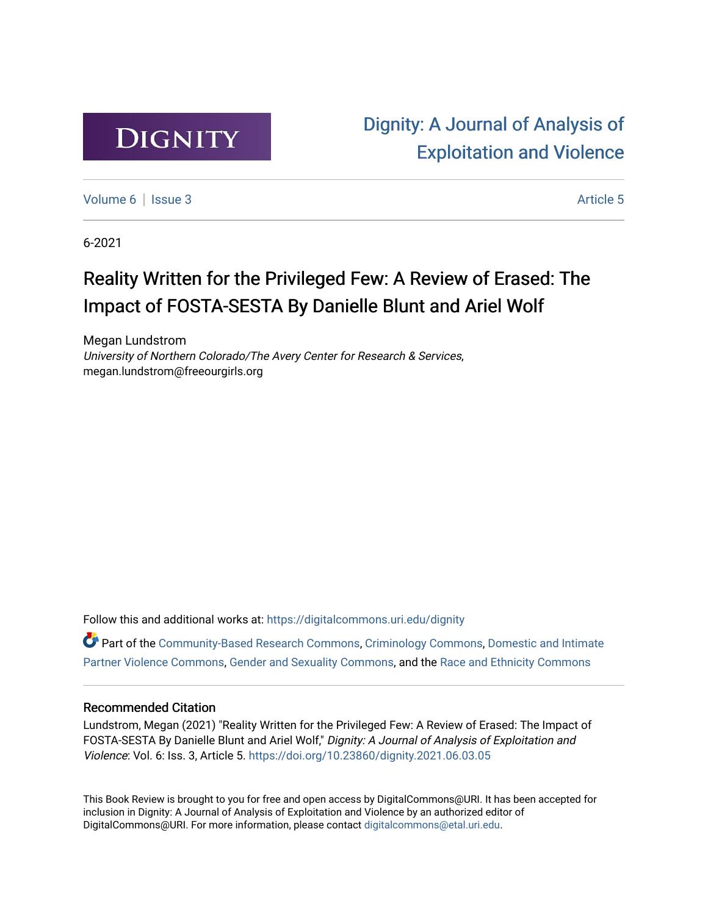

[Dignity: A Journal of Analysis of](https://digitalcommons.uri.edu/dignity)  [Exploitation and Violence](https://digitalcommons.uri.edu/dignity) 

[Volume 6](https://digitalcommons.uri.edu/dignity/vol6) | [Issue 3](https://digitalcommons.uri.edu/dignity/vol6/iss3) Article 5

6-2021

## Reality Written for the Privileged Few: A Review of Erased: The Impact of FOSTA-SESTA By Danielle Blunt and Ariel Wolf

Megan Lundstrom University of Northern Colorado/The Avery Center for Research & Services, megan.lundstrom@freeourgirls.org

Follow this and additional works at: [https://digitalcommons.uri.edu/dignity](https://digitalcommons.uri.edu/dignity?utm_source=digitalcommons.uri.edu%2Fdignity%2Fvol6%2Fiss3%2F5&utm_medium=PDF&utm_campaign=PDFCoverPages) 

Part of the [Community-Based Research Commons](http://network.bepress.com/hgg/discipline/1047?utm_source=digitalcommons.uri.edu%2Fdignity%2Fvol6%2Fiss3%2F5&utm_medium=PDF&utm_campaign=PDFCoverPages), [Criminology Commons,](http://network.bepress.com/hgg/discipline/417?utm_source=digitalcommons.uri.edu%2Fdignity%2Fvol6%2Fiss3%2F5&utm_medium=PDF&utm_campaign=PDFCoverPages) [Domestic and Intimate](http://network.bepress.com/hgg/discipline/1309?utm_source=digitalcommons.uri.edu%2Fdignity%2Fvol6%2Fiss3%2F5&utm_medium=PDF&utm_campaign=PDFCoverPages)  [Partner Violence Commons](http://network.bepress.com/hgg/discipline/1309?utm_source=digitalcommons.uri.edu%2Fdignity%2Fvol6%2Fiss3%2F5&utm_medium=PDF&utm_campaign=PDFCoverPages), [Gender and Sexuality Commons,](http://network.bepress.com/hgg/discipline/420?utm_source=digitalcommons.uri.edu%2Fdignity%2Fvol6%2Fiss3%2F5&utm_medium=PDF&utm_campaign=PDFCoverPages) and the [Race and Ethnicity Commons](http://network.bepress.com/hgg/discipline/426?utm_source=digitalcommons.uri.edu%2Fdignity%2Fvol6%2Fiss3%2F5&utm_medium=PDF&utm_campaign=PDFCoverPages) 

### Recommended Citation

Lundstrom, Megan (2021) "Reality Written for the Privileged Few: A Review of Erased: The Impact of FOSTA-SESTA By Danielle Blunt and Ariel Wolf," Dignity: A Journal of Analysis of Exploitation and Violence: Vol. 6: Iss. 3, Article 5.<https://doi.org/10.23860/dignity.2021.06.03.05>

This Book Review is brought to you for free and open access by DigitalCommons@URI. It has been accepted for inclusion in Dignity: A Journal of Analysis of Exploitation and Violence by an authorized editor of DigitalCommons@URI. For more information, please contact [digitalcommons@etal.uri.edu.](mailto:digitalcommons@etal.uri.edu)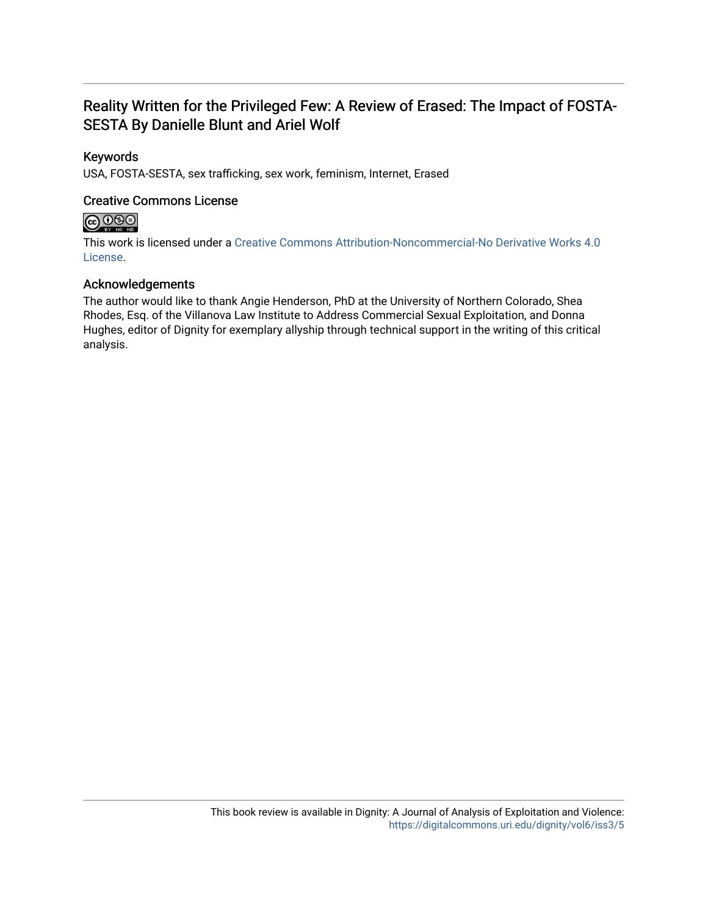## Reality Written for the Privileged Few: A Review of Erased: The Impact of FOSTA-SESTA By Danielle Blunt and Ariel Wolf

## Keywords

USA, FOSTA-SESTA, sex trafficking, sex work, feminism, Internet, Erased

## Creative Commons License

## $\bigcirc$   $\bigcirc$   $\bigcirc$

This work is licensed under a [Creative Commons Attribution-Noncommercial-No Derivative Works 4.0](https://creativecommons.org/licenses/by-nc-nd/4.0/) [License](https://creativecommons.org/licenses/by-nc-nd/4.0/).

## Acknowledgements

The author would like to thank Angie Henderson, PhD at the University of Northern Colorado, Shea Rhodes, Esq. of the Villanova Law Institute to Address Commercial Sexual Exploitation, and Donna Hughes, editor of Dignity for exemplary allyship through technical support in the writing of this critical analysis.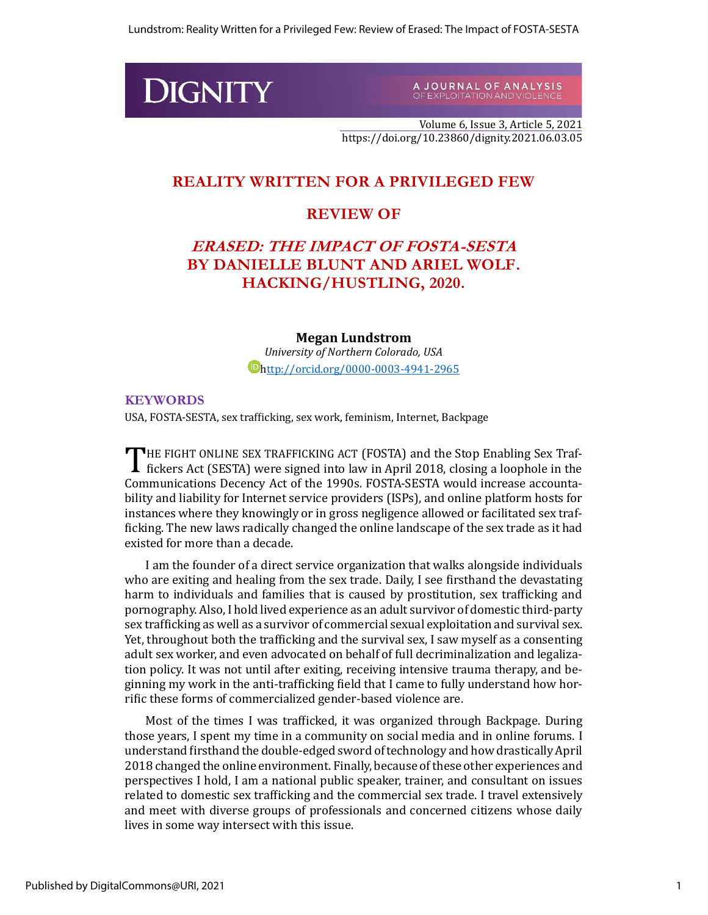# **DIGNITY**

A JOURNAL OF ANALYSIS<br>OF EXPLOITATION AND VIOLENCE

Volume 6, Issue 3, Article 5, 2021 https://doi.org/10.23860/dignity.2021.06.03.05

## **REALITY WRITTEN FOR A PRIVILEGED FEW**

## **REVIEW OF**

## **ERASED: THE IMPACT OF FOSTA-SESTA BY DANIELLE BLUNT AND ARIEL WOLF. HACKING/HUSTLING, 2020.**

#### **Megan Lundstrom**

*University of Northern Colorado, USA* [http://orcid.org/0000-0003-4941-2965](ttp://orcid.org/0000-0003-4941-2965)

## **KEYWORDS**

USA, FOSTA-SESTA, sex trafficking, sex work, feminism, Internet, Backpage

HE FIGHT ONLINE SEX TRAFFICKING ACT (FOSTA) and the Stop Enabling Sex Traf-THE FIGHT ONLINE SEX TRAFFICKING ACT (FOSTA) and the Stop Enabling Sex Traffickers Act (SESTA) were signed into law in April 2018, closing a loophole in the Communications Decency Act of the 1990s. FOSTA-SESTA would increase accountability and liability for Internet service providers (ISPs), and online platform hosts for instances where they knowingly or in gross negligence allowed or facilitated sex trafficking. The new laws radically changed the online landscape of the sex trade as it had existed for more than a decade.

I am the founder of a direct service organization that walks alongside individuals who are exiting and healing from the sex trade. Daily, I see firsthand the devastating harm to individuals and families that is caused by prostitution, sex trafficking and pornography. Also, I hold lived experience as an adult survivor of domestic third-party sex trafficking as well as a survivor of commercial sexual exploitation and survival sex. Yet, throughout both the trafficking and the survival sex, I saw myself as a consenting adult sex worker, and even advocated on behalf of full decriminalization and legalization policy. It was not until after exiting, receiving intensive trauma therapy, and beginning my work in the anti-trafficking field that I came to fully understand how horrific these forms of commercialized gender-based violence are.

Most of the times I was trafficked, it was organized through Backpage. During those years, I spent my time in a community on social media and in online forums. I understand firsthand the double-edged sword of technology and how drastically April 2018 changed the online environment. Finally, because of these other experiences and perspectives I hold, I am a national public speaker, trainer, and consultant on issues related to domestic sex trafficking and the commercial sex trade. I travel extensively and meet with diverse groups of professionals and concerned citizens whose daily lives in some way intersect with this issue.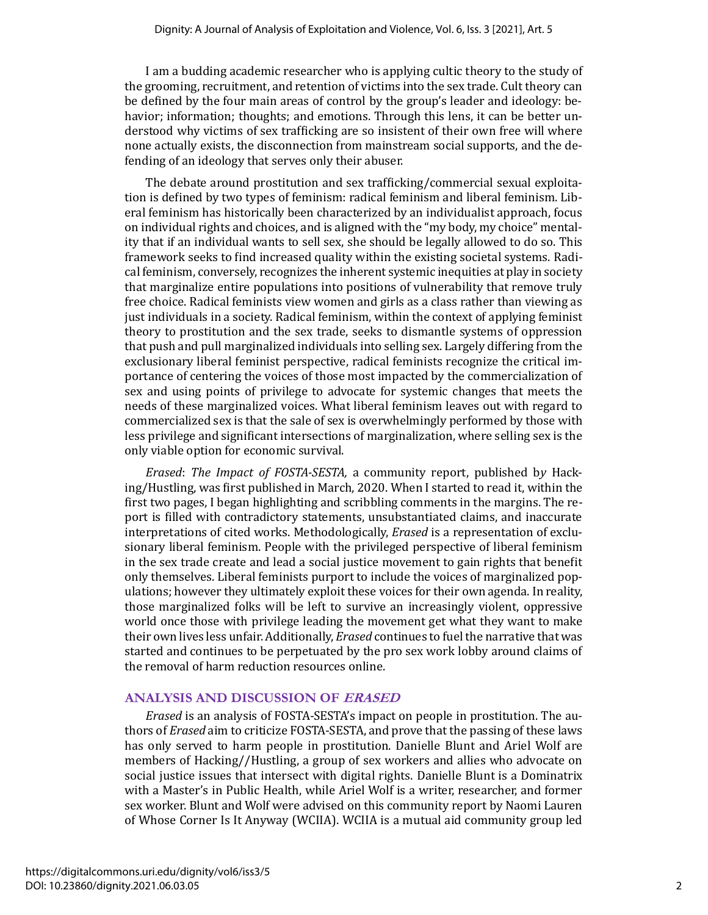I am a budding academic researcher who is applying cultic theory to the study of the grooming, recruitment, and retention of victims into the sex trade. Cult theory can be defined by the four main areas of control by the group's leader and ideology: behavior; information; thoughts; and emotions. Through this lens, it can be better understood why victims of sex trafficking are so insistent of their own free will where none actually exists, the disconnection from mainstream social supports, and the defending of an ideology that serves only their abuser.

The debate around prostitution and sex trafficking/commercial sexual exploitation is defined by two types of feminism: radical feminism and liberal feminism. Liberal feminism has historically been characterized by an individualist approach, focus on individual rights and choices, and is aligned with the "my body, my choice" mentality that if an individual wants to sell sex, she should be legally allowed to do so. This framework seeks to find increased quality within the existing societal systems. Radical feminism, conversely, recognizes the inherent systemic inequities at play in society that marginalize entire populations into positions of vulnerability that remove truly free choice. Radical feminists view women and girls as a class rather than viewing as just individuals in a society. Radical feminism, within the context of applying feminist theory to prostitution and the sex trade, seeks to dismantle systems of oppression that push and pull marginalized individuals into selling sex. Largely differing from the exclusionary liberal feminist perspective, radical feminists recognize the critical importance of centering the voices of those most impacted by the commercialization of sex and using points of privilege to advocate for systemic changes that meets the needs of these marginalized voices. What liberal feminism leaves out with regard to commercialized sex is that the sale of sex is overwhelmingly performed by those with less privilege and significant intersections of marginalization, where selling sex is the only viable option for economic survival.

*Erased*: *The Impact of FOSTA-SESTA,* a community report, published b*y* Hacking/Hustling, was first published in March, 2020. When I started to read it, within the first two pages, I began highlighting and scribbling comments in the margins. The report is filled with contradictory statements, unsubstantiated claims, and inaccurate interpretations of cited works. Methodologically, *Erased* is a representation of exclusionary liberal feminism. People with the privileged perspective of liberal feminism in the sex trade create and lead a social justice movement to gain rights that benefit only themselves. Liberal feminists purport to include the voices of marginalized populations; however they ultimately exploit these voices for their own agenda. In reality, those marginalized folks will be left to survive an increasingly violent, oppressive world once those with privilege leading the movement get what they want to make their own lives less unfair. Additionally, *Erased* continues to fuel the narrative that was started and continues to be perpetuated by the pro sex work lobby around claims of the removal of harm reduction resources online.

#### **ANALYSIS AND DISCUSSION OF ERASED**

*Erased* is an analysis of FOSTA-SESTA's impact on people in prostitution. The authors of *Erased* aim to criticize FOSTA-SESTA, and prove that the passing of these laws has only served to harm people in prostitution. Danielle Blunt and Ariel Wolf are members of Hacking//Hustling, a group of sex workers and allies who advocate on social justice issues that intersect with digital rights. Danielle Blunt is a Dominatrix with a Master's in Public Health, while Ariel Wolf is a writer, researcher, and former sex worker. Blunt and Wolf were advised on this community report by Naomi Lauren of Whose Corner Is It Anyway (WCIIA). WCIIA is a mutual aid community group led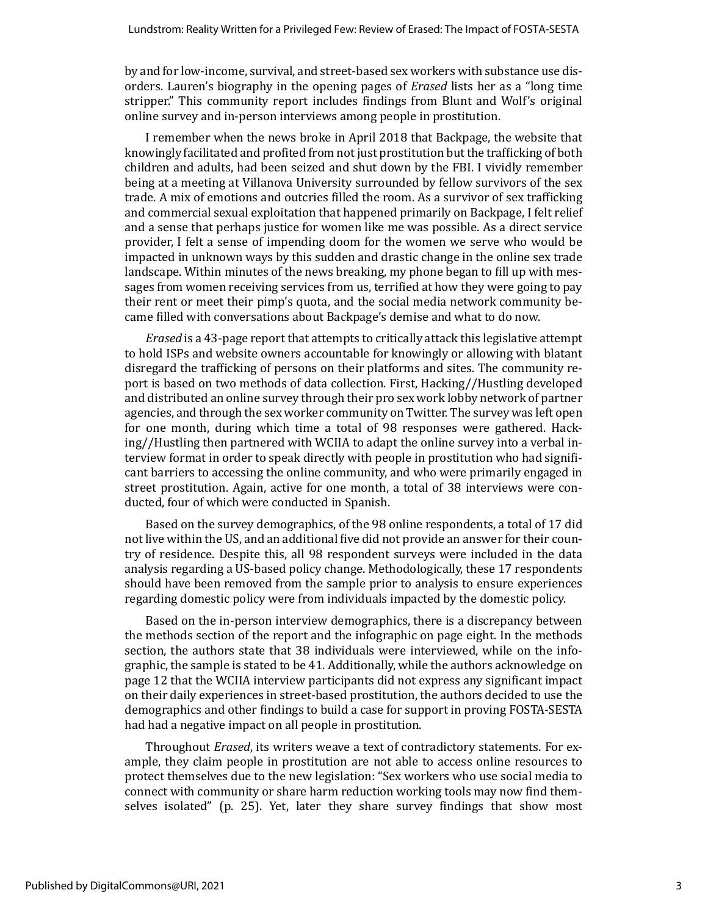by and for low-income, survival, and street-based sex workers with substance use disorders. Lauren's biography in the opening pages of *Erased* lists her as a "long time stripper." This community report includes findings from Blunt and Wolf's original online survey and in-person interviews among people in prostitution.

I remember when the news broke in April 2018 that Backpage, the website that knowingly facilitated and profited from not just prostitution but the trafficking of both children and adults, had been seized and shut down by the FBI. I vividly remember being at a meeting at Villanova University surrounded by fellow survivors of the sex trade. A mix of emotions and outcries filled the room. As a survivor of sex trafficking and commercial sexual exploitation that happened primarily on Backpage, I felt relief and a sense that perhaps justice for women like me was possible. As a direct service provider, I felt a sense of impending doom for the women we serve who would be impacted in unknown ways by this sudden and drastic change in the online sex trade landscape. Within minutes of the news breaking, my phone began to fill up with messages from women receiving services from us, terrified at how they were going to pay their rent or meet their pimp's quota, and the social media network community became filled with conversations about Backpage's demise and what to do now.

*Erased* is a 43-page report that attempts to critically attack this legislative attempt to hold ISPs and website owners accountable for knowingly or allowing with blatant disregard the trafficking of persons on their platforms and sites. The community report is based on two methods of data collection. First, Hacking//Hustling developed and distributed an online survey through their pro sex work lobby network of partner agencies, and through the sex worker community on Twitter. The survey was left open for one month, during which time a total of 98 responses were gathered. Hacking//Hustling then partnered with WCIIA to adapt the online survey into a verbal interview format in order to speak directly with people in prostitution who had significant barriers to accessing the online community, and who were primarily engaged in street prostitution. Again, active for one month, a total of 38 interviews were conducted, four of which were conducted in Spanish.

Based on the survey demographics, of the 98 online respondents, a total of 17 did not live within the US, and an additional five did not provide an answer for their country of residence. Despite this, all 98 respondent surveys were included in the data analysis regarding a US-based policy change. Methodologically, these 17 respondents should have been removed from the sample prior to analysis to ensure experiences regarding domestic policy were from individuals impacted by the domestic policy.

Based on the in-person interview demographics, there is a discrepancy between the methods section of the report and the infographic on page eight. In the methods section, the authors state that 38 individuals were interviewed, while on the infographic, the sample is stated to be 41. Additionally, while the authors acknowledge on page 12 that the WCIIA interview participants did not express any significant impact on their daily experiences in street-based prostitution, the authors decided to use the demographics and other findings to build a case for support in proving FOSTA-SESTA had had a negative impact on all people in prostitution.

Throughout *Erased*, its writers weave a text of contradictory statements. For example, they claim people in prostitution are not able to access online resources to protect themselves due to the new legislation: "Sex workers who use social media to connect with community or share harm reduction working tools may now find themselves isolated" (p. 25). Yet, later they share survey findings that show most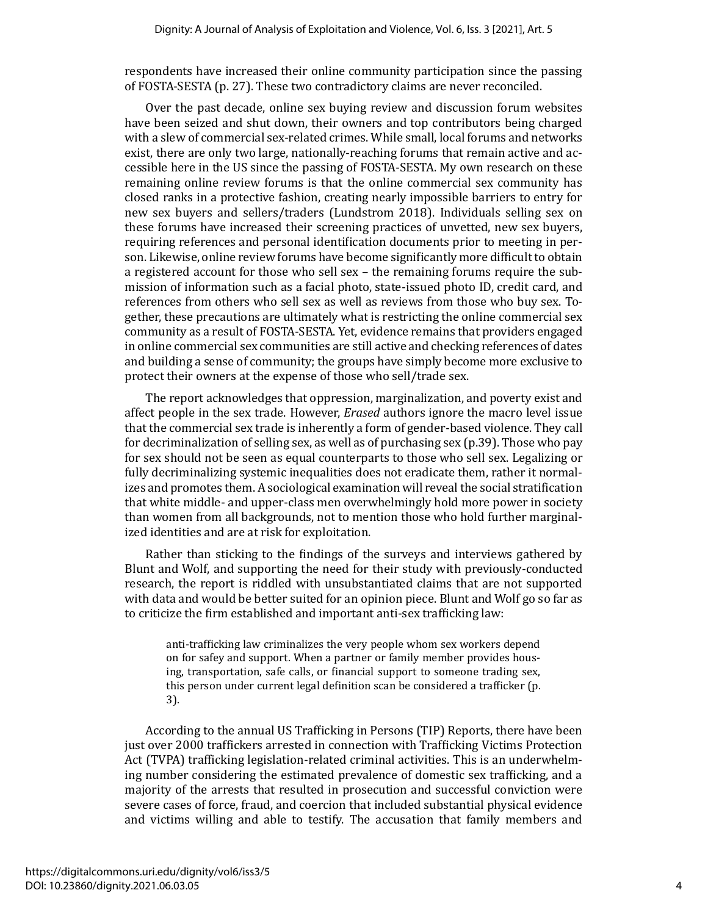respondents have increased their online community participation since the passing of FOSTA-SESTA (p. 27). These two contradictory claims are never reconciled.

Over the past decade, online sex buying review and discussion forum websites have been seized and shut down, their owners and top contributors being charged with a slew of commercial sex-related crimes. While small, local forums and networks exist, there are only two large, nationally-reaching forums that remain active and accessible here in the US since the passing of FOSTA-SESTA. My own research on these remaining online review forums is that the online commercial sex community has closed ranks in a protective fashion, creating nearly impossible barriers to entry for new sex buyers and sellers/traders (Lundstrom 2018). Individuals selling sex on these forums have increased their screening practices of unvetted, new sex buyers, requiring references and personal identification documents prior to meeting in person. Likewise, online review forums have become significantly more difficult to obtain a registered account for those who sell sex – the remaining forums require the submission of information such as a facial photo, state-issued photo ID, credit card, and references from others who sell sex as well as reviews from those who buy sex. Together, these precautions are ultimately what is restricting the online commercial sex community as a result of FOSTA-SESTA. Yet, evidence remains that providers engaged in online commercial sex communities are still active and checking references of dates and building a sense of community; the groups have simply become more exclusive to protect their owners at the expense of those who sell/trade sex.

The report acknowledges that oppression, marginalization, and poverty exist and affect people in the sex trade. However, *Erased* authors ignore the macro level issue that the commercial sex trade is inherently a form of gender-based violence. They call for decriminalization of selling sex, as well as of purchasing sex (p.39). Those who pay for sex should not be seen as equal counterparts to those who sell sex. Legalizing or fully decriminalizing systemic inequalities does not eradicate them, rather it normalizes and promotes them. A sociological examination will reveal the social stratification that white middle- and upper-class men overwhelmingly hold more power in society than women from all backgrounds, not to mention those who hold further marginalized identities and are at risk for exploitation.

Rather than sticking to the findings of the surveys and interviews gathered by Blunt and Wolf, and supporting the need for their study with previously-conducted research, the report is riddled with unsubstantiated claims that are not supported with data and would be better suited for an opinion piece. Blunt and Wolf go so far as to criticize the firm established and important anti-sex trafficking law:

anti-trafficking law criminalizes the very people whom sex workers depend on for safey and support. When a partner or family member provides housing, transportation, safe calls, or financial support to someone trading sex, this person under current legal definition scan be considered a trafficker (p. 3).

According to the annual US Trafficking in Persons (TIP) Reports, there have been just over 2000 traffickers arrested in connection with Trafficking Victims Protection Act (TVPA) trafficking legislation-related criminal activities. This is an underwhelming number considering the estimated prevalence of domestic sex trafficking, and a majority of the arrests that resulted in prosecution and successful conviction were severe cases of force, fraud, and coercion that included substantial physical evidence and victims willing and able to testify. The accusation that family members and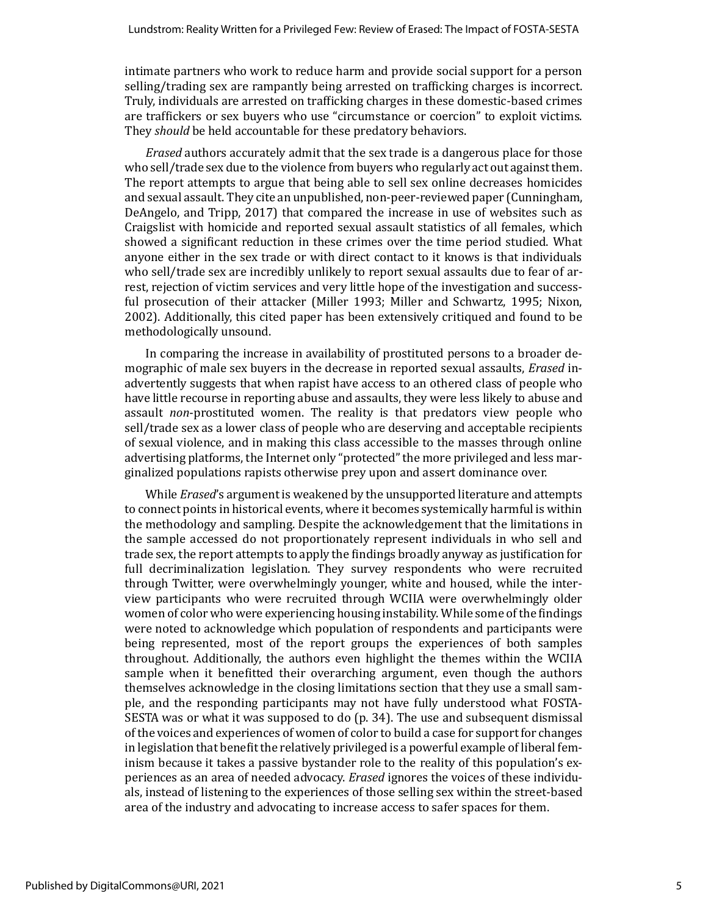intimate partners who work to reduce harm and provide social support for a person selling/trading sex are rampantly being arrested on trafficking charges is incorrect. Truly, individuals are arrested on trafficking charges in these domestic-based crimes are traffickers or sex buyers who use "circumstance or coercion" to exploit victims. They *should* be held accountable for these predatory behaviors.

*Erased* authors accurately admit that the sex trade is a dangerous place for those who sell/trade sex due to the violence from buyers who regularly act out against them. The report attempts to argue that being able to sell sex online decreases homicides and sexual assault. They cite an unpublished, non-peer-reviewed paper (Cunningham, DeAngelo, and Tripp, 2017) that compared the increase in use of websites such as Craigslist with homicide and reported sexual assault statistics of all females, which showed a significant reduction in these crimes over the time period studied. What anyone either in the sex trade or with direct contact to it knows is that individuals who sell/trade sex are incredibly unlikely to report sexual assaults due to fear of arrest, rejection of victim services and very little hope of the investigation and successful prosecution of their attacker (Miller 1993; Miller and Schwartz, 1995; Nixon, 2002). Additionally, this cited paper has been extensively critiqued and found to be methodologically unsound.

In comparing the increase in availability of prostituted persons to a broader demographic of male sex buyers in the decrease in reported sexual assaults, *Erased* inadvertently suggests that when rapist have access to an othered class of people who have little recourse in reporting abuse and assaults, they were less likely to abuse and assault *non*-prostituted women. The reality is that predators view people who sell/trade sex as a lower class of people who are deserving and acceptable recipients of sexual violence, and in making this class accessible to the masses through online advertising platforms, the Internet only "protected" the more privileged and less marginalized populations rapists otherwise prey upon and assert dominance over.

While *Erased*'s argument is weakened by the unsupported literature and attempts to connect points in historical events, where it becomes systemically harmful is within the methodology and sampling. Despite the acknowledgement that the limitations in the sample accessed do not proportionately represent individuals in who sell and trade sex, the report attempts to apply the findings broadly anyway as justification for full decriminalization legislation. They survey respondents who were recruited through Twitter, were overwhelmingly younger, white and housed, while the interview participants who were recruited through WCIIA were overwhelmingly older women of color who were experiencing housing instability. While some of the findings were noted to acknowledge which population of respondents and participants were being represented, most of the report groups the experiences of both samples throughout. Additionally, the authors even highlight the themes within the WCIIA sample when it benefitted their overarching argument, even though the authors themselves acknowledge in the closing limitations section that they use a small sample, and the responding participants may not have fully understood what FOSTA-SESTA was or what it was supposed to do (p. 34). The use and subsequent dismissal of the voices and experiences of women of color to build a case for support for changes in legislation that benefit the relatively privileged is a powerful example of liberal feminism because it takes a passive bystander role to the reality of this population's experiences as an area of needed advocacy. *Erased* ignores the voices of these individuals, instead of listening to the experiences of those selling sex within the street-based area of the industry and advocating to increase access to safer spaces for them.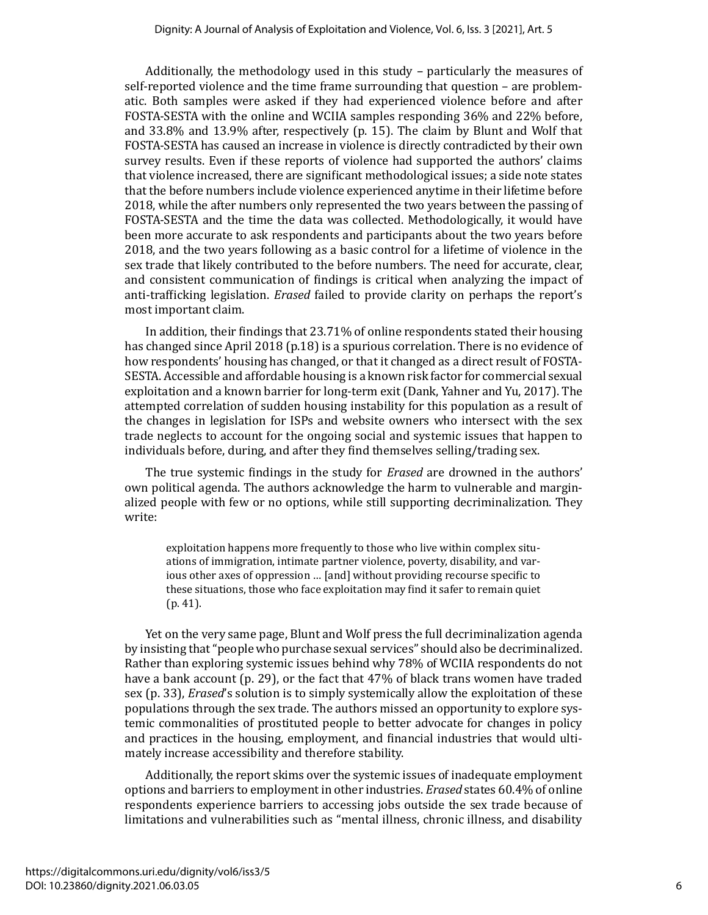Additionally, the methodology used in this study – particularly the measures of self-reported violence and the time frame surrounding that question – are problematic. Both samples were asked if they had experienced violence before and after FOSTA-SESTA with the online and WCIIA samples responding 36% and 22% before, and 33.8% and 13.9% after, respectively (p. 15). The claim by Blunt and Wolf that FOSTA-SESTA has caused an increase in violence is directly contradicted by their own survey results. Even if these reports of violence had supported the authors' claims that violence increased, there are significant methodological issues; a side note states that the before numbers include violence experienced anytime in their lifetime before 2018, while the after numbers only represented the two years between the passing of FOSTA-SESTA and the time the data was collected. Methodologically, it would have been more accurate to ask respondents and participants about the two years before 2018, and the two years following as a basic control for a lifetime of violence in the sex trade that likely contributed to the before numbers. The need for accurate, clear, and consistent communication of findings is critical when analyzing the impact of anti-trafficking legislation. *Erased* failed to provide clarity on perhaps the report's most important claim.

In addition, their findings that 23.71% of online respondents stated their housing has changed since April 2018 (p.18) is a spurious correlation. There is no evidence of how respondents' housing has changed, or that it changed as a direct result of FOSTA-SESTA. Accessible and affordable housing is a known risk factor for commercial sexual exploitation and a known barrier for long-term exit (Dank, Yahner and Yu, 2017). The attempted correlation of sudden housing instability for this population as a result of the changes in legislation for ISPs and website owners who intersect with the sex trade neglects to account for the ongoing social and systemic issues that happen to individuals before, during, and after they find themselves selling/trading sex.

The true systemic findings in the study for *Erased* are drowned in the authors' own political agenda. The authors acknowledge the harm to vulnerable and marginalized people with few or no options, while still supporting decriminalization. They write:

exploitation happens more frequently to those who live within complex situations of immigration, intimate partner violence, poverty, disability, and various other axes of oppression … [and] without providing recourse specific to these situations, those who face exploitation may find it safer to remain quiet (p. 41).

Yet on the very same page, Blunt and Wolf press the full decriminalization agenda by insisting that "people who purchase sexual services" should also be decriminalized. Rather than exploring systemic issues behind why 78% of WCIIA respondents do not have a bank account (p. 29), or the fact that 47% of black trans women have traded sex (p. 33), *Erased*'s solution is to simply systemically allow the exploitation of these populations through the sex trade. The authors missed an opportunity to explore systemic commonalities of prostituted people to better advocate for changes in policy and practices in the housing, employment, and financial industries that would ultimately increase accessibility and therefore stability.

Additionally, the report skims over the systemic issues of inadequate employment options and barriers to employment in other industries. *Erased* states 60.4% of online respondents experience barriers to accessing jobs outside the sex trade because of limitations and vulnerabilities such as "mental illness, chronic illness, and disability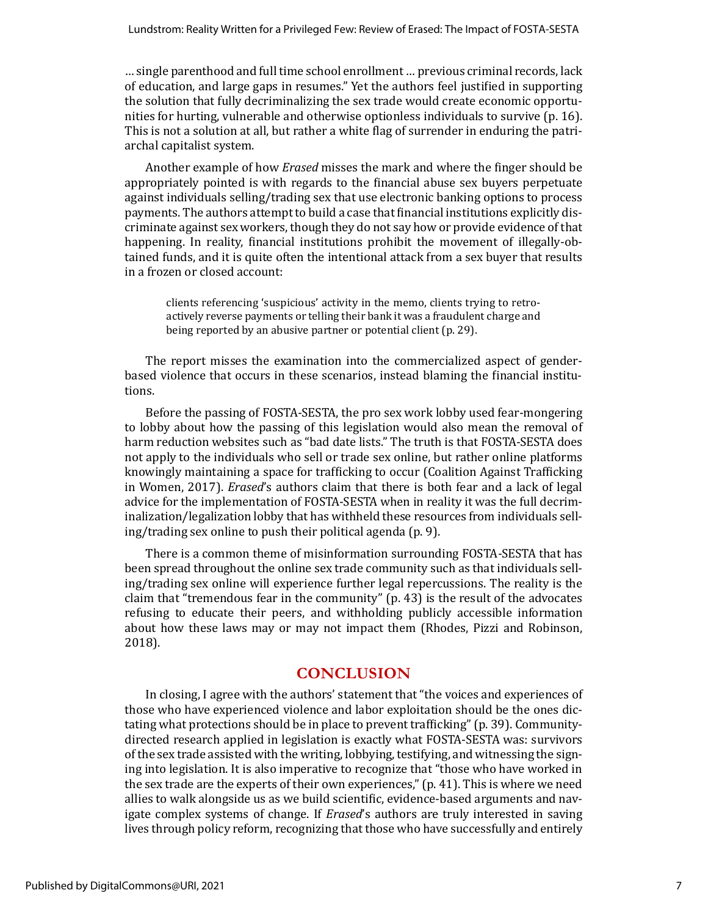… single parenthood and full time school enrollment … previous criminal records, lack of education, and large gaps in resumes." Yet the authors feel justified in supporting the solution that fully decriminalizing the sex trade would create economic opportunities for hurting, vulnerable and otherwise optionless individuals to survive (p. 16). This is not a solution at all, but rather a white flag of surrender in enduring the patriarchal capitalist system.

Another example of how *Erased* misses the mark and where the finger should be appropriately pointed is with regards to the financial abuse sex buyers perpetuate against individuals selling/trading sex that use electronic banking options to process payments. The authors attempt to build a case that financial institutions explicitly discriminate against sex workers, though they do not say how or provide evidence of that happening. In reality, financial institutions prohibit the movement of illegally-obtained funds, and it is quite often the intentional attack from a sex buyer that results in a frozen or closed account:

clients referencing 'suspicious' activity in the memo, clients trying to retroactively reverse payments or telling their bank it was a fraudulent charge and being reported by an abusive partner or potential client (p. 29).

The report misses the examination into the commercialized aspect of genderbased violence that occurs in these scenarios, instead blaming the financial institutions.

Before the passing of FOSTA-SESTA, the pro sex work lobby used fear-mongering to lobby about how the passing of this legislation would also mean the removal of harm reduction websites such as "bad date lists." The truth is that FOSTA-SESTA does not apply to the individuals who sell or trade sex online, but rather online platforms knowingly maintaining a space for trafficking to occur (Coalition Against Trafficking in Women, 2017). *Erased*'s authors claim that there is both fear and a lack of legal advice for the implementation of FOSTA-SESTA when in reality it was the full decriminalization/legalization lobby that has withheld these resources from individuals selling/trading sex online to push their political agenda (p. 9).

There is a common theme of misinformation surrounding FOSTA-SESTA that has been spread throughout the online sex trade community such as that individuals selling/trading sex online will experience further legal repercussions. The reality is the claim that "tremendous fear in the community" (p. 43) is the result of the advocates refusing to educate their peers, and withholding publicly accessible information about how these laws may or may not impact them (Rhodes, Pizzi and Robinson, 2018).

## **CONCLUSION**

In closing, I agree with the authors' statement that "the voices and experiences of those who have experienced violence and labor exploitation should be the ones dictating what protections should be in place to prevent trafficking" (p. 39). Communitydirected research applied in legislation is exactly what FOSTA-SESTA was: survivors of the sex trade assisted with the writing, lobbying, testifying, and witnessing the signing into legislation. It is also imperative to recognize that "those who have worked in the sex trade are the experts of their own experiences," (p. 41). This is where we need allies to walk alongside us as we build scientific, evidence-based arguments and navigate complex systems of change. If *Erased*'s authors are truly interested in saving lives through policy reform, recognizing that those who have successfully and entirely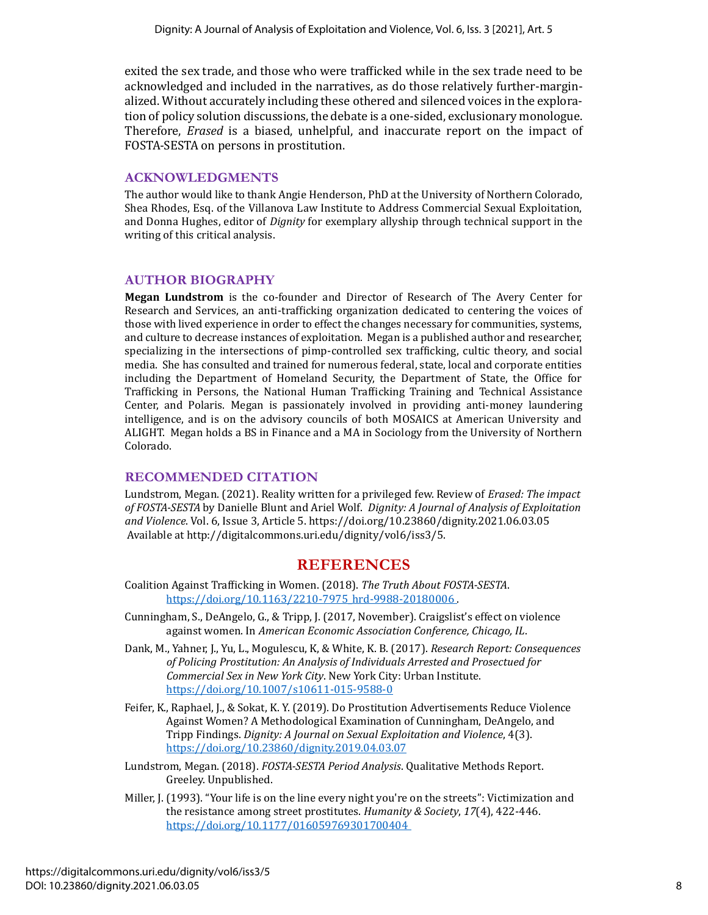exited the sex trade, and those who were trafficked while in the sex trade need to be acknowledged and included in the narratives, as do those relatively further-marginalized. Without accurately including these othered and silenced voices in the exploration of policy solution discussions, the debate is a one-sided, exclusionary monologue. Therefore, *Erased* is a biased, unhelpful, and inaccurate report on the impact of FOSTA-SESTA on persons in prostitution.

#### **ACKNOWLEDGMENTS**

The author would like to thank Angie Henderson, PhD at the University of Northern Colorado, Shea Rhodes, Esq. of the Villanova Law Institute to Address Commercial Sexual Exploitation, and Donna Hughes, editor of *Dignity* for exemplary allyship through technical support in the writing of this critical analysis.

## **AUTHOR BIOGRAPHY**

**Megan Lundstrom** is the co-founder and Director of Research of The Avery Center for Research and Services, an anti-trafficking organization dedicated to centering the voices of those with lived experience in order to effect the changes necessary for communities, systems, and culture to decrease instances of exploitation. Megan is a published author and researcher, specializing in the intersections of pimp-controlled sex trafficking, cultic theory, and social media. She has consulted and trained for numerous federal, state, local and corporate entities including the Department of Homeland Security, the Department of State, the Office for Trafficking in Persons, the National Human Trafficking Training and Technical Assistance Center, and Polaris. Megan is passionately involved in providing anti-money laundering intelligence, and is on the advisory councils of both MOSAICS at American University and ALIGHT. Megan holds a BS in Finance and a MA in Sociology from the University of Northern Colorado.

#### **RECOMMENDED CITATION**

Lundstrom, Megan. (2021). Reality written for a privileged few. Review of *Erased: The impact of FOSTA-SESTA* by Danielle Blunt and Ariel Wolf. *Dignity: A Journal of Analysis of Exploitation and Violence*. Vol. 6, Issue 3, Article 5. https://doi.org/10.23860/dignity.2021.06.03.05 Available at http://digitalcommons.uri.edu/dignity/vol6/iss3/5.

## **REFERENCES**

- Coalition Against Trafficking in Women. (2018). *The Truth About FOSTA-SESTA*. [https://doi.org/10.1163/2210-7975\\_hrd-9988-20180006](https://doi.org/10.1163/2210-7975_hrd-9988-20180006)
- Cunningham, S., DeAngelo, G., & Tripp, J. (2017, November). Craigslist's effect on violence against women. In *American Economic Association Conference, Chicago, IL*.
- Dank, M., Yahner, J., Yu, L., Mogulescu, K, & White, K. B. (2017). *Research Report: Consequences of Policing Prostitution: An Analysis of Individuals Arrested and Prosectued for Commercial Sex in New York City*. New York City: Urban Institute. <https://doi.org/10.1007/s10611-015-9588-0>
- Feifer, K., Raphael, J., & Sokat, K. Y. (2019). Do Prostitution Advertisements Reduce Violence Against Women? A Methodological Examination of Cunningham, DeAngelo, and Tripp Findings. *Dignity: A Journal on Sexual Exploitation and Violence*, 4(3). <https://doi.org/10.23860/dignity.2019.04.03.07>
- Lundstrom, Megan. (2018). *FOSTA-SESTA Period Analysis*. Qualitative Methods Report. Greeley. Unpublished.
- Miller, J. (1993). "Your life is on the line every night you're on the streets": Victimization and the resistance among street prostitutes. *Humanity & Society*, *17*(4), 422-446. <https://doi.org/10.1177/016059769301700404>